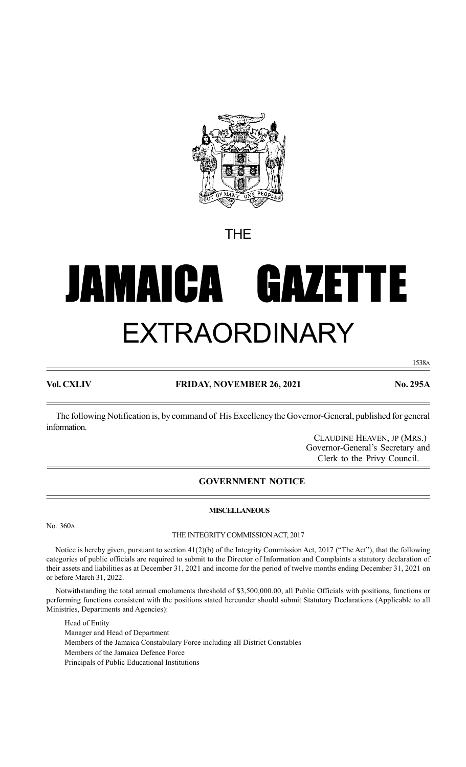

THE

# JAMAICA GAZET T E EXTRAORDINARY

1538A

# Vol. CXLIV FRIDAY, NOVEMBER 26, 2021 No. 295A

The following Notification is, by command of His Excellency the Governor-General, published for general information.

> CLAUDINE HEAVEN, JP (MRS.) Governor-General's Secretary and Clerk to the Privy Council.

# GOVERNMENT NOTICE

## No. 360A

## THE INTEGRITY COMMISSION ACT, 2017

MISCELLANEOUS

Notice is hereby given, pursuant to section  $41(2)(b)$  of the Integrity Commission Act, 2017 ("The Act"), that the following categories of public officials are required to submit to the Director of Information and Complaints a statutory declaration of their assets and liabilities as at December 31, 2021 and income for the period of twelve months ending December 31, 2021 on or before March 31, 2022.

Notwithstanding the total annual emoluments threshold of \$3,500,000.00, all Public Officials with positions, functions or performing functions consistent with the positions stated hereunder should submit Statutory Declarations (Applicable to all Ministries, Departments and Agencies):

Head of Entity

Manager and Head of Department Members of the Jamaica Constabulary Force including all District Constables Members of the Jamaica Defence Force Principals of Public Educational Institutions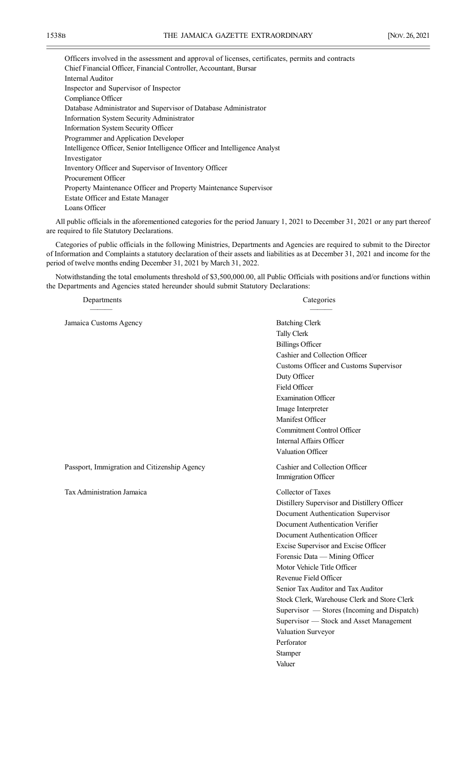Officers involved in the assessment and approval of licenses, certificates, permits and contracts Chief Financial Officer, Financial Controller, Accountant, Bursar Internal Auditor Inspector and Supervisor of Inspector Compliance Officer Database Administrator and Supervisor of Database Administrator Information System Security Administrator Information System Security Officer Programmer and Application Developer Intelligence Officer, Senior Intelligence Officer and Intelligence Analyst Investigator Inventory Officer and Supervisor of Inventory Officer Procurement Officer Property Maintenance Officer and Property Maintenance Supervisor Estate Officer and Estate Manager Loans Officer

All public officials in the aforementioned categories for the period January 1, 2021 to December 31, 2021 or any part thereof are required to file Statutory Declarations.

Categories of public officials in the following Ministries, Departments and Agencies are required to submit to the Director of Information and Complaints a statutory declaration of their assets and liabilities as at December 31, 2021 and income for the period of twelve months ending December 31, 2021 by March 31, 2022.

Notwithstanding the total emoluments threshold of \$3,500,000.00, all Public Officials with positions and/or functions within the Departments and Agencies stated hereunder should submit Statutory Declarations:

Departments Categories

——— ———

| Jamaica Customs Agency                       | <b>Batching Clerk</b><br><b>Tally Clerk</b><br><b>Billings Officer</b><br>Cashier and Collection Officer<br>Customs Officer and Customs Supervisor<br>Duty Officer<br>Field Officer<br><b>Examination Officer</b><br>Image Interpreter<br>Manifest Officer<br><b>Commitment Control Officer</b><br>Internal Affairs Officer<br>Valuation Officer                                                                                                                                                                                                           |
|----------------------------------------------|------------------------------------------------------------------------------------------------------------------------------------------------------------------------------------------------------------------------------------------------------------------------------------------------------------------------------------------------------------------------------------------------------------------------------------------------------------------------------------------------------------------------------------------------------------|
| Passport, Immigration and Citizenship Agency | Cashier and Collection Officer<br>Immigration Officer                                                                                                                                                                                                                                                                                                                                                                                                                                                                                                      |
| Tax Administration Jamaica                   | Collector of Taxes<br>Distillery Supervisor and Distillery Officer<br>Document Authentication Supervisor<br>Document Authentication Verifier<br>Document Authentication Officer<br>Excise Supervisor and Excise Officer<br>Forensic Data - Mining Officer<br>Motor Vehicle Title Officer<br>Revenue Field Officer<br>Senior Tax Auditor and Tax Auditor<br>Stock Clerk, Warehouse Clerk and Store Clerk<br>Supervisor — Stores (Incoming and Dispatch)<br>Supervisor - Stock and Asset Management<br>Valuation Surveyor<br>Perforator<br>Stamper<br>Valuer |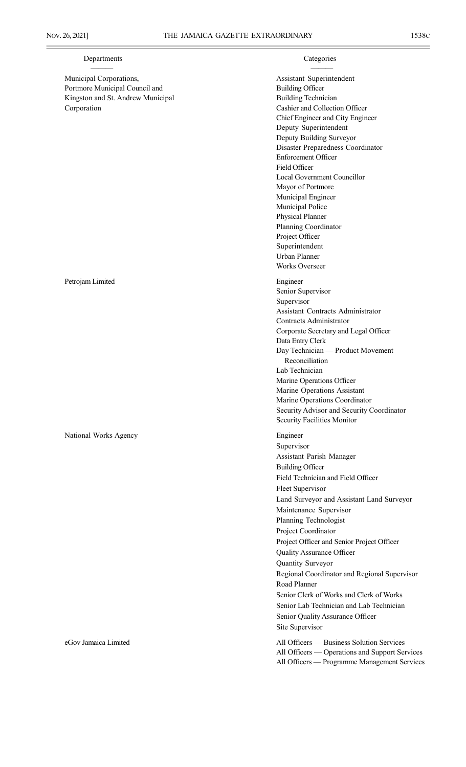# Departments Categories

Municipal Corporations,  $\qquad \qquad$  Assistant Superintendent Portmore Municipal Council and Building Officer Kingston and St. Andrew Municipal Building Technician Corporation Cashier and Collection Officer

Chief Engineer and City Engineer Deputy Superintendent Deputy Building Surveyor Disaster Preparedness Coordinator Enforcement Officer Field Officer Local Government Councillor Mayor of Portmore Municipal Engineer Municipal Police Physical Planner Planning Coordinator Project Officer Superintendent Urban Planner Works Overseer Petrojam Limited Engineer Senior Supervisor Supervisor Assistant Contracts Administrator Contracts Administrator Corporate Secretary and Legal Officer Data Entry Clerk Day Technician — Product Movement Reconciliation Lab Technician Marine Operations Officer Marine Operations Assistant Marine Operations Coordinator Security Advisor and Security Coordinator Security Facilities Monitor National Works Agency Engineer Supervisor Assistant Parish Manager Building Officer Field Technician and Field Officer Fleet Supervisor Land Surveyor and Assistant Land Surveyor Maintenance Supervisor Planning Technologist Project Coordinator Project Officer and Senior Project Officer Quality Assurance Officer Quantity Surveyor Regional Coordinator and Regional Supervisor Road Planner ——— ———

Senior Clerk of Works and Clerk of Works Senior Lab Technician and Lab Technician Senior Quality Assurance Officer Site Supervisor

eGov Jamaica Limited All Officers — Business Solution Services All Officers — Operations and Support Services All Officers — Programme Management Services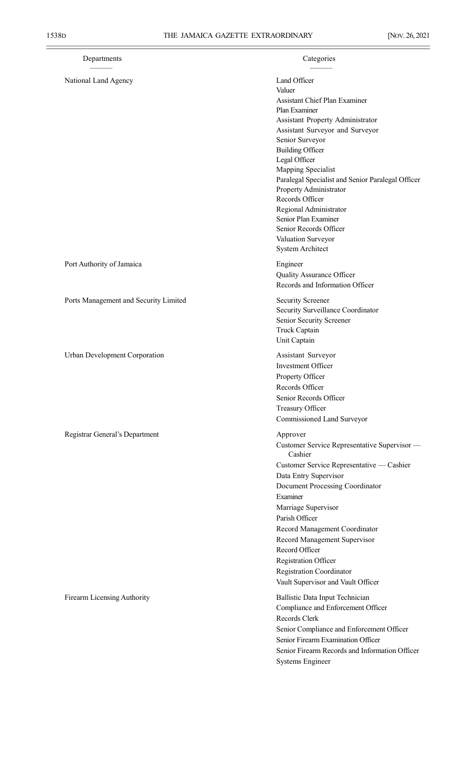Ē

| Departments                           | Categories                                                                                                                                                                                                                                                                                                                                                                                                                                                                 |
|---------------------------------------|----------------------------------------------------------------------------------------------------------------------------------------------------------------------------------------------------------------------------------------------------------------------------------------------------------------------------------------------------------------------------------------------------------------------------------------------------------------------------|
| National Land Agency                  | Land Officer<br>Valuer<br><b>Assistant Chief Plan Examiner</b><br>Plan Examiner<br>Assistant Property Administrator<br>Assistant Surveyor and Surveyor<br>Senior Surveyor<br><b>Building Officer</b><br>Legal Officer<br>Mapping Specialist<br>Paralegal Specialist and Senior Paralegal Officer<br>Property Administrator<br>Records Officer<br>Regional Administrator<br>Senior Plan Examiner<br>Senior Records Officer<br>Valuation Surveyor<br><b>System Architect</b> |
| Port Authority of Jamaica             | Engineer<br>Quality Assurance Officer<br>Records and Information Officer                                                                                                                                                                                                                                                                                                                                                                                                   |
| Ports Management and Security Limited | <b>Security Screener</b><br>Security Surveillance Coordinator<br>Senior Security Screener<br>Truck Captain<br>Unit Captain                                                                                                                                                                                                                                                                                                                                                 |
| Urban Development Corporation         | Assistant Surveyor<br>Investment Officer<br>Property Officer<br>Records Officer<br>Senior Records Officer<br>Treasury Officer<br>Commissioned Land Surveyor                                                                                                                                                                                                                                                                                                                |
| Registrar General's Department        | Approver<br>Customer Service Representative Supervisor -<br>Cashier<br>Customer Service Representative — Cashier<br>Data Entry Supervisor<br>Document Processing Coordinator<br>Examiner<br>Marriage Supervisor<br>Parish Officer<br>Record Management Coordinator<br>Record Management Supervisor<br>Record Officer<br>Registration Officer<br><b>Registration Coordinator</b><br>Vault Supervisor and Vault Officer                                                      |
| Firearm Licensing Authority           | Ballistic Data Input Technician<br>Compliance and Enforcement Officer<br>Records Clerk<br>Senior Compliance and Enforcement Officer<br>Senior Firearm Examination Officer<br>Senior Firearm Records and Information Officer                                                                                                                                                                                                                                                |

Systems Engineer